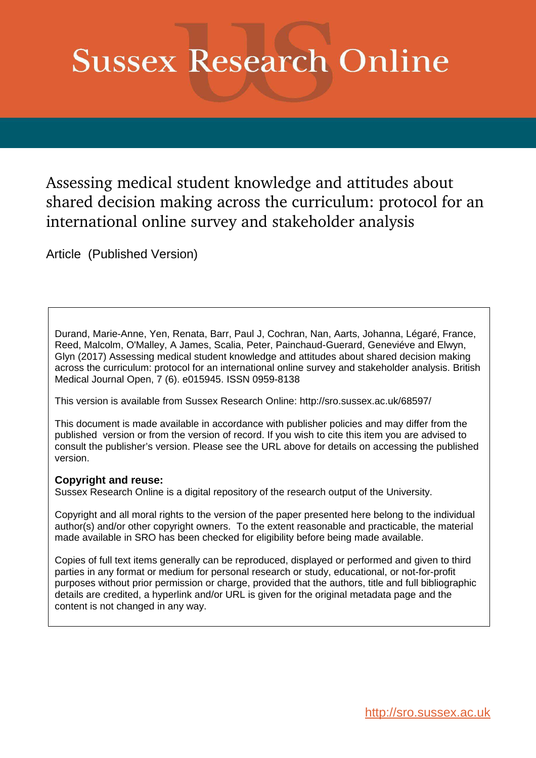# **Sussex Research Online**

Assessing medical student knowledge and attitudes about shared decision making across the curriculum: protocol for an international online survey and stakeholder analysis

Article (Published Version)

Durand, Marie-Anne, Yen, Renata, Barr, Paul J, Cochran, Nan, Aarts, Johanna, Légaré, France, Reed, Malcolm, O'Malley, A James, Scalia, Peter, Painchaud-Guerard, Geneviéve and Elwyn, Glyn (2017) Assessing medical student knowledge and attitudes about shared decision making across the curriculum: protocol for an international online survey and stakeholder analysis. British Medical Journal Open, 7 (6). e015945. ISSN 0959-8138

This version is available from Sussex Research Online: http://sro.sussex.ac.uk/68597/

This document is made available in accordance with publisher policies and may differ from the published version or from the version of record. If you wish to cite this item you are advised to consult the publisher's version. Please see the URL above for details on accessing the published version.

### **Copyright and reuse:**

Sussex Research Online is a digital repository of the research output of the University.

Copyright and all moral rights to the version of the paper presented here belong to the individual author(s) and/or other copyright owners. To the extent reasonable and practicable, the material made available in SRO has been checked for eligibility before being made available.

Copies of full text items generally can be reproduced, displayed or performed and given to third parties in any format or medium for personal research or study, educational, or not-for-profit purposes without prior permission or charge, provided that the authors, title and full bibliographic details are credited, a hyperlink and/or URL is given for the original metadata page and the content is not changed in any way.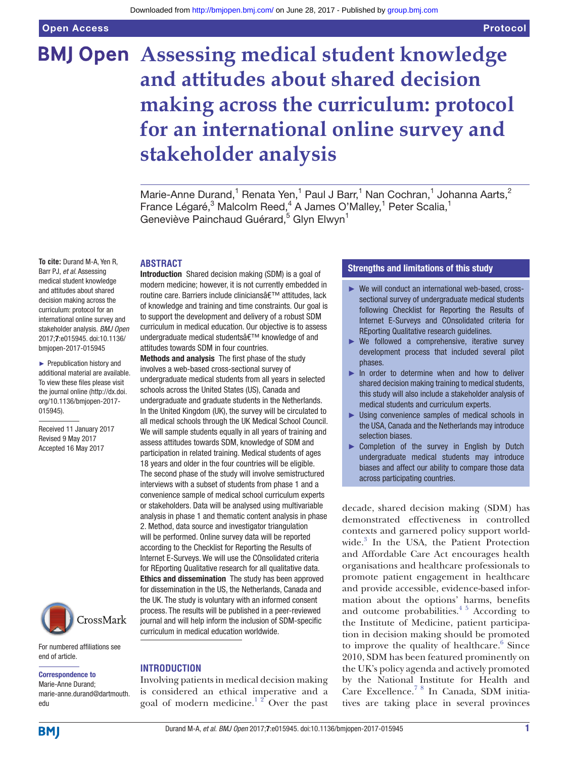Open Access

# **BMJ Open** Assessing medical student knowledge **and attitudes about shared decision making across the curriculum: protocol for an international online survey and stakeholder analysis**

Marie-Anne Durand,<sup>1</sup> Renata Yen,<sup>1</sup> Paul J Barr,<sup>1</sup> Nan Cochran,<sup>1</sup> Johanna Aarts,<sup>2</sup> France Légaré,<sup>3</sup> Malcolm Reed,<sup>4</sup> A James O'Malley,<sup>1</sup> Peter Scalia,<sup>1</sup> Geneviève Painchaud Guérard,<sup>5</sup> Glyn Elwyn<sup>1</sup>

#### **ABSTRACT**

**To cite:** Durand M-A, Yen R, Barr PJ, et al. Assessing medical student knowledge and attitudes about shared decision making across the curriculum: protocol for an international online survey and stakeholder analysis. BMJ Open 2017;7:e015945. doi:10.1136/ bmjopen-2017-015945

► Prepublication history and additional material are available. To view these files please visit the journal online (http://dx.doi. org/10.1136/bmjopen-2017-[015945\)](http://dx.doi.org/10.1136/bmjopen-2017-015945).

Received 11 January 2017 Revised 9 May 2017 Accepted 16 May 2017



For numbered afiliations see end of article.

#### Correspondence to

Marie-Anne Durand; marie-anne.durand@dartmouth. edu

Introduction Shared decision making (SDM) is a goal of modern medicine; however, it is not currently embedded in routine care. Barriers include clinicians' attitudes, lack of knowledge and training and time constraints. Our goal is to support the development and delivery of a robust SDM curriculum in medical education. Our objective is to assess undergraduate medical students' knowledge of and attitudes towards SDM in four countries.

Methods and analysis The first phase of the study involves a web-based cross-sectional survey of undergraduate medical students from all years in selected schools across the United States (US), Canada and undergraduate and graduate students in the Netherlands. In the United Kingdom (UK), the survey will be circulated to all medical schools through the UK Medical School Council. We will sample students equally in all years of training and assess attitudes towards SDM, knowledge of SDM and participation in related training. Medical students of ages 18 years and older in the four countries will be eligible. The second phase of the study will involve semistructured interviews with a subset of students from phase 1 and a convenience sample of medical school curriculum experts or stakeholders. Data will be analysed using multivariable analysis in phase 1 and thematic content analysis in phase 2. Method, data source and investigator triangulation will be performed. Online survey data will be reported according to the Checklist for Reporting the Results of Internet E-Surveys. We will use the COnsolidated criteria for REporting Qualitative research for all qualitative data. Ethics and dissemination The study has been approved for dissemination in the US, the Netherlands, Canada and the UK. The study is voluntary with an informed consent process. The results will be published in a peer-reviewed journal and will help inform the inclusion of SDM-specific curriculum in medical education worldwide.

#### **INTRODUCTION**

Involving patients in medical decision making is considered an ethical imperative and a goal of modern medicine. $1 \frac{1}{2}$  Over the past

#### Strengths and limitations of this study

- ► We will conduct an international web-based, crosssectional survey of undergraduate medical students following Checklist for Reporting the Results of Internet E-Surveys and COnsolidated criteria for REporting Qualitative research guidelines.
- ► We followed a comprehensive, iterative survey development process that included several pilot phases.
- ► In order to determine when and how to deliver shared decision making training to medical students, this study will also include a stakeholder analysis of medical students and curriculum experts.
- ► Using convenience samples of medical schools in the USA, Canada and the Netherlands may introduce selection biases.
- ► Completion of the survey in English by Dutch undergraduate medical students may introduce biases and affect our ability to compare those data across participating countries.

decade, shared decision making (SDM) has demonstrated effectiveness in controlled contexts and garnered policy support world-wide.<sup>[3](#page-6-1)</sup> In the USA, the Patient Protection and Affordable Care Act encourages health organisations and healthcare professionals to promote patient engagement in healthcare and provide accessible, evidence-based information about the options' harms, benefits and outcome probabilities. $45$  According to the Institute of Medicine, patient participation in decision making should be promoted to improve the quality of healthcare. $6$  Since 2010, SDM has been featured prominently on the UK's policy agenda and actively promoted by the National Institute for Health and Care Excellence.[7 8](#page-6-4) In Canada, SDM initiatives are taking place in several provinces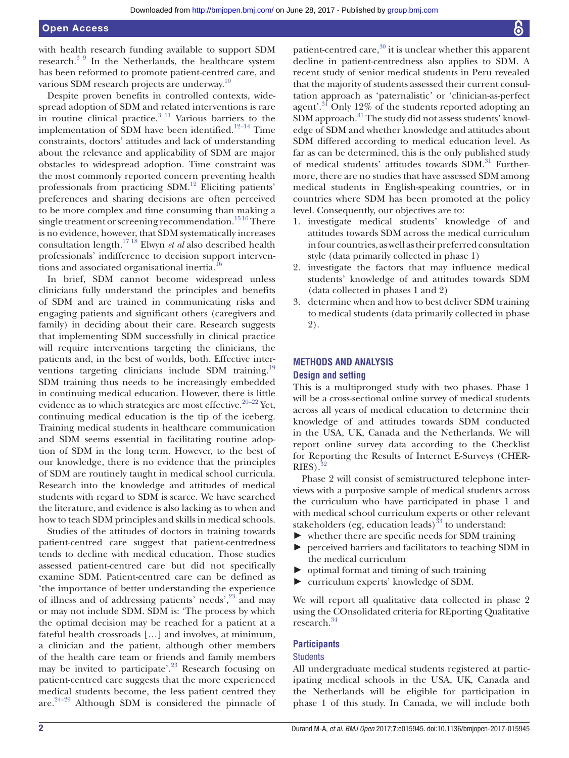with health research funding available to support SDM research.[3 9](#page-6-1) In the Netherlands, the healthcare system has been reformed to promote patient-centred care, and various SDM research projects are underway.<sup>[10](#page-6-5)</sup>

Despite proven benefits in controlled contexts, widespread adoption of SDM and related interventions is rare in routine clinical practice. $3 \text{ } 11$  Various barriers to the implementation of SDM have been identified.<sup>[12–14](#page-6-6)</sup> Time constraints, doctors' attitudes and lack of understanding about the relevance and applicability of SDM are major obstacles to widespread adoption. Time constraint was the most commonly reported concern preventing health professionals from practicing SDM.<sup>[12](#page-6-6)</sup> Eliciting patients' preferences and sharing decisions are often perceived to be more complex and time consuming than making a single treatment or screening recommendation.<sup>1516</sup> There is no evidence, however, that SDM systematically increases consultation length.[17 18](#page-6-8) Elwyn *et al* also described health professionals' indifference to decision support interventions and associated organisational inertia.<sup>1</sup>

In brief, SDM cannot become widespread unless clinicians fully understand the principles and benefits of SDM and are trained in communicating risks and engaging patients and significant others (caregivers and family) in deciding about their care. Research suggests that implementing SDM successfully in clinical practice will require interventions targeting the clinicians, the patients and, in the best of worlds, both. Effective inter-ventions targeting clinicians include SDM training.<sup>[19](#page-6-10)</sup> SDM training thus needs to be increasingly embedded in continuing medical education. However, there is little evidence as to which strategies are most effective.<sup>[20–22](#page-6-11)</sup> Yet, continuing medical education is the tip of the iceberg. Training medical students in healthcare communication and SDM seems essential in facilitating routine adoption of SDM in the long term. However, to the best of our knowledge, there is no evidence that the principles of SDM are routinely taught in medical school curricula. Research into the knowledge and attitudes of medical students with regard to SDM is scarce. We have searched the literature, and evidence is also lacking as to when and how to teach SDM principles and skills in medical schools.

Studies of the attitudes of doctors in training towards patient-centred care suggest that patient-centredness tends to decline with medical education. Those studies assessed patient-centred care but did not specifically examine SDM. Patient-centred care can be defined as 'the importance of better understanding the experience of illness and of addressing patients' needs',[23](#page-6-12) and may or may not include SDM. SDM is: 'The process by which the optimal decision may be reached for a patient at a fateful health crossroads […] and involves, at minimum, a clinician and the patient, although other members of the health care team or friends and family members may be invited to participate'.<sup>[23](#page-6-12)</sup> Research focusing on patient-centred care suggests that the more experienced medical students become, the less patient centred they are. [24–29](#page-6-13) Although SDM is considered the pinnacle of patient-centred care, $30$  it is unclear whether this apparent decline in patient-centredness also applies to SDM. A recent study of senior medical students in Peru revealed that the majority of students assessed their current consultation approach as 'paternalistic' or 'clinician-as-perfect agent'.<sup>[31](#page-6-15)</sup> Only 12% of the students reported adopting an SDM approach.<sup>[31](#page-6-15)</sup> The study did not assess students' knowledge of SDM and whether knowledge and attitudes about SDM differed according to medical education level. As far as can be determined, this is the only published study of medical students' attitudes towards SDM.<sup>[31](#page-6-15)</sup> Furthermore, there are no studies that have assessed SDM among medical students in English-speaking countries, or in countries where SDM has been promoted at the policy level. Consequently, our objectives are to:

- 1. investigate medical students' knowledge of and attitudes towards SDM across the medical curriculum in four countries, as well as their preferred consultation style (data primarily collected in phase 1)
- 2. investigate the factors that may influence medical students' knowledge of and attitudes towards SDM (data collected in phases 1 and 2)
- 3. determine when and how to best deliver SDM training to medical students (data primarily collected in phase 2).

#### **METHODS AND ANALYSIS**

#### **Design and setting**

This is a multipronged study with two phases. Phase 1 will be a cross-sectional online survey of medical students across all years of medical education to determine their knowledge of and attitudes towards SDM conducted in the USA, UK, Canada and the Netherlands. We will report online survey data according to the Checklist for Reporting the Results of Internet E-Surveys (CHER- $RIES$ ).  $32$ 

Phase 2 will consist of semistructured telephone interviews with a purposive sample of medical students across the curriculum who have participated in phase 1 and with medical school curriculum experts or other relevant stakeholders (eg, education leads) $33$  to understand:

- ► whether there are specific needs for SDM training
- perceived barriers and facilitators to teaching SDM in the medical curriculum
- ► optimal format and timing of such training
- ► curriculum experts' knowledge of SDM.

We will report all qualitative data collected in phase 2 using the COnsolidated criteria for REporting Qualitative research.<sup>[34](#page-6-18)</sup>

#### **Participants**

#### **Students**

All undergraduate medical students registered at participating medical schools in the USA, UK, Canada and the Netherlands will be eligible for participation in phase 1 of this study. In Canada, we will include both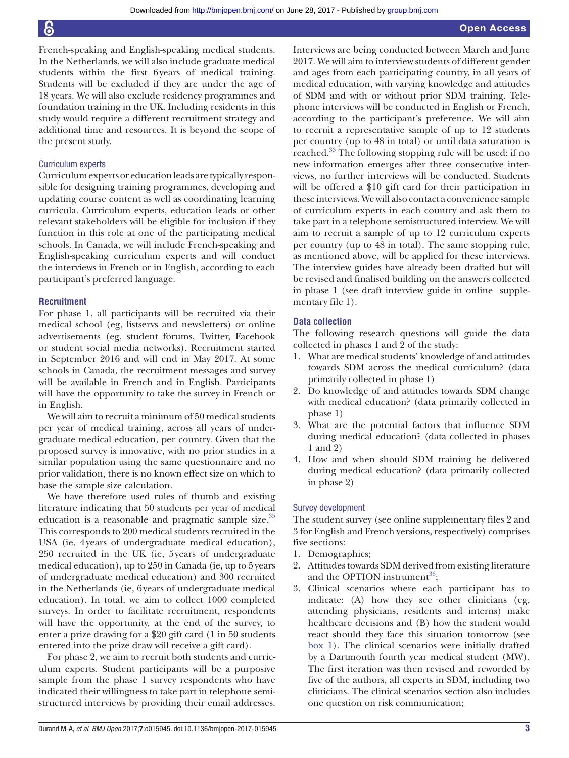16

<span id="page-3-0"></span>French-speaking and English-speaking medical students. In the Netherlands, we will also include graduate medical students within the first 6 years of medical training. Students will be excluded if they are under the age of 18 years. We will also exclude residency programmes and foundation training in the UK. Including residents in this study would require a different recruitment strategy and additional time and resources. It is beyond the scope of the present study.

#### Curriculum experts

Curriculum experts or education leads are typically responsible for designing training programmes, developing and updating course content as well as coordinating learning curricula. Curriculum experts, education leads or other relevant stakeholders will be eligible for inclusion if they function in this role at one of the participating medical schools. In Canada, we will include French-speaking and English-speaking curriculum experts and will conduct the interviews in French or in English, according to each participant's preferred language.

#### **Recruitment**

For phase 1, all participants will be recruited via their medical school (eg, listservs and newsletters) or online advertisements (eg, student forums, Twitter, Facebook or student social media networks). Recruitment started in September 2016 and will end in May 2017. At some schools in Canada, the recruitment messages and survey will be available in French and in English. Participants will have the opportunity to take the survey in French or in English.

We will aim to recruit a minimum of 50 medical students per year of medical training, across all years of undergraduate medical education, per country. Given that the proposed survey is innovative, with no prior studies in a similar population using the same questionnaire and no prior validation, there is no known effect size on which to base the sample size calculation.

<span id="page-3-1"></span>We have therefore used rules of thumb and existing literature indicating that 50 students per year of medical education is a reasonable and pragmatic sample size.<sup>[35](#page-6-19)</sup> This corresponds to 200 medical students recruited in the USA (ie, 4 years of undergraduate medical education), 250 recruited in the UK (ie, 5 years of undergraduate medical education), up to 250 in Canada (ie, up to 5 years of undergraduate medical education) and 300 recruited in the Netherlands (ie, 6 years of undergraduate medical education). In total, we aim to collect 1000 completed surveys. In order to facilitate recruitment, respondents will have the opportunity, at the end of the survey, to enter a prize drawing for a \$20 gift card (1 in 50 students entered into the prize draw will receive a gift card).

For phase 2, we aim to recruit both students and curriculum experts. Student participants will be a purposive sample from the phase 1 survey respondents who have indicated their willingness to take part in telephone semistructured interviews by providing their email addresses.

Interviews are being conducted between March and June 2017. We will aim to interview students of different gender and ages from each participating country, in all years of medical education, with varying knowledge and attitudes of SDM and with or without prior SDM training. Telephone interviews will be conducted in English or French, according to the participant's preference. We will aim to recruit a representative sample of up to 12 students per country (up to 48 in total) or until data saturation is reached.<sup>[33](#page-6-17)</sup> The following stopping rule will be used: if no new information emerges after three consecutive interviews, no further interviews will be conducted. Students will be offered a \$10 gift card for their participation in these interviews. We will also contact a convenience sample of curriculum experts in each country and ask them to take part in a telephone semistructured interview. We will aim to recruit a sample of up to 12 curriculum experts per country (up to 48 in total). The same stopping rule, as mentioned above, will be applied for these interviews. The interview guides have already been drafted but will be revised and finalised building on the answers collected in phase 1 (see draft interview guide in online supplementary file 1).

#### **Data collection**

The following research questions will guide the data collected in phases 1 and 2 of the study:

- 1. What are medical students' knowledge of and attitudes towards SDM across the medical curriculum? (data primarily collected in phase 1)
- 2. Do knowledge of and attitudes towards SDM change with medical education? (data primarily collected in phase 1)
- 3. What are the potential factors that influence SDM during medical education? (data collected in phases 1 and 2)
- 4. How and when should SDM training be delivered during medical education? (data primarily collected in phase 2)

#### Survey development

The student survey (see online supplementary files 2 and 3 for English and French versions, respectively) comprises five sections:

- 1. Demographics;
- 2. Attitudes towards SDM derived from existing literature and the OPTION instrument $^{36}$  $^{36}$  $^{36}$ ;
- 3. Clinical scenarios where each participant has to indicate: (A) how they see other clinicians (eg, attending physicians, residents and interns) make healthcare decisions and (B) how the student would react should they face this situation tomorrow (see [box 1](#page-3-0)). The clinical scenarios were initially drafted by a Dartmouth fourth year medical student (MW). The first iteration was then revised and reworded by five of the authors, all experts in SDM, including two clinicians. The clinical scenarios section also includes one question on risk communication;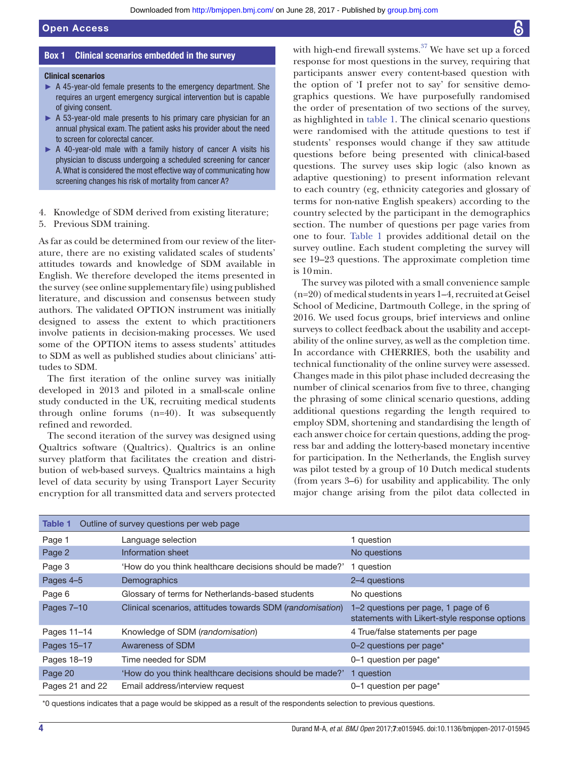#### Clinical scenarios

- ► A 45-year-old female presents to the emergency department. She requires an urgent emergency surgical intervention but is capable of giving consent.
- ► A 53-year-old male presents to his primary care physician for an annual physical exam. The patient asks his provider about the need to screen for colorectal cancer.
- ► A 40-year-old male with a family history of cancer A visits his physician to discuss undergoing a scheduled screening for cancer A. What is considered the most effective way of communicating how screening changes his risk of mortality from cancer A?
- 4. Knowledge of SDM derived from existing literature;
- 5. Previous SDM training.

As far as could be determined from our review of the literature, there are no existing validated scales of students' attitudes towards and knowledge of SDM available in English. We therefore developed the items presented in the survey (see online supplementary file) using published literature, and discussion and consensus between study authors. The validated OPTION instrument was initially designed to assess the extent to which practitioners involve patients in decision-making processes. We used some of the OPTION items to assess students' attitudes to SDM as well as published studies about clinicians' attitudes to SDM.

The first iteration of the online survey was initially developed in 2013 and piloted in a small-scale online study conducted in the UK, recruiting medical students through online forums (n=40). It was subsequently refined and reworded.

The second iteration of the survey was designed using Qualtrics software (Qualtrics). Qualtrics is an online survey platform that facilitates the creation and distribution of web-based surveys. Qualtrics maintains a high level of data security by using Transport Layer Security encryption for all transmitted data and servers protected with high-end firewall systems. $37$  We have set up a forced response for most questions in the survey, requiring that participants answer every content-based question with the option of 'I prefer not to say' for sensitive demographics questions. We have purposefully randomised the order of presentation of two sections of the survey, as highlighted in [table 1.](#page-3-1) The clinical scenario questions were randomised with the attitude questions to test if students' responses would change if they saw attitude questions before being presented with clinical-based questions. The survey uses skip logic (also known as adaptive questioning) to present information relevant to each country (eg, ethnicity categories and glossary of terms for non-native English speakers) according to the country selected by the participant in the demographics section. The number of questions per page varies from one to four. [Table 1](#page-3-1) provides additional detail on the survey outline. Each student completing the survey will see 19–23 questions. The approximate completion time is 10 min.

The survey was piloted with a small convenience sample (n=20) of medical students in years 1–4, recruited at Geisel School of Medicine, Dartmouth College, in the spring of 2016. We used focus groups, brief interviews and online surveys to collect feedback about the usability and acceptability of the online survey, as well as the completion time. In accordance with CHERRIES, both the usability and technical functionality of the online survey were assessed. Changes made in this pilot phase included decreasing the number of clinical scenarios from five to three, changing the phrasing of some clinical scenario questions, adding additional questions regarding the length required to employ SDM, shortening and standardising the length of each answer choice for certain questions, adding the progress bar and adding the lottery-based monetary incentive for participation. In the Netherlands, the English survey was pilot tested by a group of 10 Dutch medical students (from years 3–6) for usability and applicability. The only major change arising from the pilot data collected in

| Outline of survey questions per web page<br>Table 1 |                                                           |                                                                                      |  |
|-----------------------------------------------------|-----------------------------------------------------------|--------------------------------------------------------------------------------------|--|
| Page 1                                              | Language selection                                        | 1 question                                                                           |  |
| Page 2                                              | Information sheet                                         | No questions                                                                         |  |
| Page 3                                              | 'How do you think healthcare decisions should be made?'   | question                                                                             |  |
| Pages 4-5                                           | Demographics                                              | 2-4 questions                                                                        |  |
| Page 6                                              | Glossary of terms for Netherlands-based students          | No questions                                                                         |  |
| Pages 7-10                                          | Clinical scenarios, attitudes towards SDM (randomisation) | 1-2 questions per page, 1 page of 6<br>statements with Likert-style response options |  |
| Pages 11-14                                         | Knowledge of SDM (randomisation)                          | 4 True/false statements per page                                                     |  |
| Pages 15-17                                         | Awareness of SDM                                          | 0-2 questions per page*                                                              |  |
| Pages 18-19                                         | Time needed for SDM                                       | 0-1 question per page*                                                               |  |
| Page 20                                             | 'How do you think healthcare decisions should be made?'   | 1 question                                                                           |  |
| Pages 21 and 22                                     | Email address/interview request                           | 0-1 question per page*                                                               |  |

\*0 questions indicates that a page would be skipped as a result of the respondents selection to previous questions.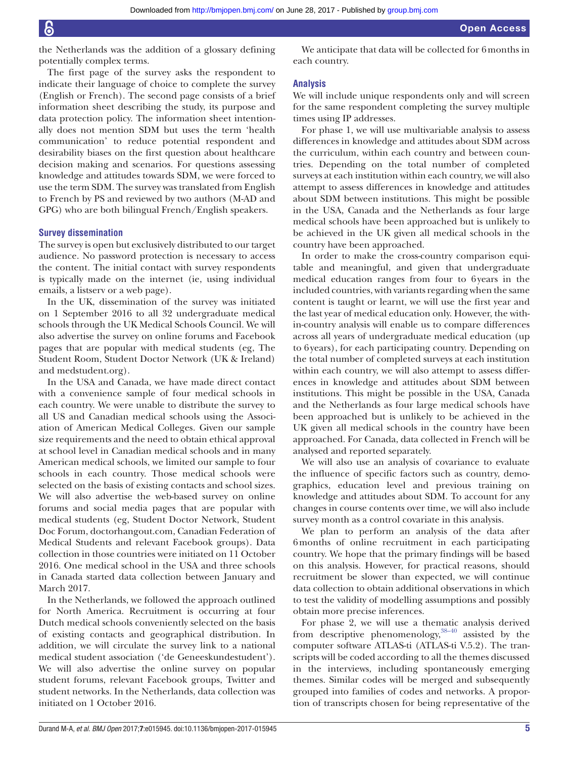the Netherlands was the addition of a glossary defining potentially complex terms.

The first page of the survey asks the respondent to indicate their language of choice to complete the survey (English or French). The second page consists of a brief information sheet describing the study, its purpose and data protection policy. The information sheet intentionally does not mention SDM but uses the term 'health communication' to reduce potential respondent and desirability biases on the first question about healthcare decision making and scenarios. For questions assessing knowledge and attitudes towards SDM, we were forced to use the term SDM. The survey was translated from English to French by PS and reviewed by two authors (M-AD and GPG) who are both bilingual French/English speakers.

#### **Survey dissemination**

The survey is open but exclusively distributed to our target audience. No password protection is necessary to access the content. The initial contact with survey respondents is typically made on the internet (ie, using individual emails, a listserv or a web page).

In the UK, dissemination of the survey was initiated on 1 September 2016 to all 32 undergraduate medical schools through the UK Medical Schools Council. We will also advertise the survey on online forums and Facebook pages that are popular with medical students (eg, The Student Room, Student Doctor Network (UK & Ireland) and medstudent. org).

In the USA and Canada, we have made direct contact with a convenience sample of four medical schools in each country. We were unable to distribute the survey to all US and Canadian medical schools using the Association of American Medical Colleges. Given our sample size requirements and the need to obtain ethical approval at school level in Canadian medical schools and in many American medical schools, we limited our sample to four schools in each country. Those medical schools were selected on the basis of existing contacts and school sizes. We will also advertise the web-based survey on online forums and social media pages that are popular with medical students (eg, Student Doctor Network, Student Doc Forum, doctorhangout. com, Canadian Federation of Medical Students and relevant Facebook groups). Data collection in those countries were initiated on 11 October 2016. One medical school in the USA and three schools in Canada started data collection between January and March 2017.

In the Netherlands, we followed the approach outlined for North America. Recruitment is occurring at four Dutch medical schools conveniently selected on the basis of existing contacts and geographical distribution. In addition, we will circulate the survey link to a national medical student association ('de Geneeskundestudent'). We will also advertise the online survey on popular student forums, relevant Facebook groups, Twitter and student networks. In the Netherlands, data collection was initiated on 1 October 2016.

We anticipate that data will be collected for 6 months in each country.

#### **Analysis**

We will include unique respondents only and will screen for the same respondent completing the survey multiple times using IP addresses.

For phase 1, we will use multivariable analysis to assess differences in knowledge and attitudes about SDM across the curriculum, within each country and between countries. Depending on the total number of completed surveys at each institution within each country, we will also attempt to assess differences in knowledge and attitudes about SDM between institutions. This might be possible in the USA, Canada and the Netherlands as four large medical schools have been approached but is unlikely to be achieved in the UK given all medical schools in the country have been approached.

In order to make the cross-country comparison equitable and meaningful, and given that undergraduate medical education ranges from four to 6 years in the included countries, with variants regarding when the same content is taught or learnt, we will use the first year and the last year of medical education only. However, the within-country analysis will enable us to compare differences across all years of undergraduate medical education (up to 6 years), for each participating country. Depending on the total number of completed surveys at each institution within each country, we will also attempt to assess differences in knowledge and attitudes about SDM between institutions. This might be possible in the USA, Canada and the Netherlands as four large medical schools have been approached but is unlikely to be achieved in the UK given all medical schools in the country have been approached. For Canada, data collected in French will be analysed and reported separately.

We will also use an analysis of covariance to evaluate the influence of specific factors such as country, demographics, education level and previous training on knowledge and attitudes about SDM. To account for any changes in course contents over time, we will also include survey month as a control covariate in this analysis.

We plan to perform an analysis of the data after 6 months of online recruitment in each participating country. We hope that the primary findings will be based on this analysis. However, for practical reasons, should recruitment be slower than expected, we will continue data collection to obtain additional observations in which to test the validity of modelling assumptions and possibly obtain more precise inferences.

For phase 2, we will use a thematic analysis derived from descriptive phenomenology,[38–40](#page-6-22) assisted by the computer software ATLAS-ti (ATLAS-ti V.5.2). The transcripts will be coded according to all the themes discussed in the interviews, including spontaneously emerging themes. Similar codes will be merged and subsequently grouped into families of codes and networks. A proportion of transcripts chosen for being representative of the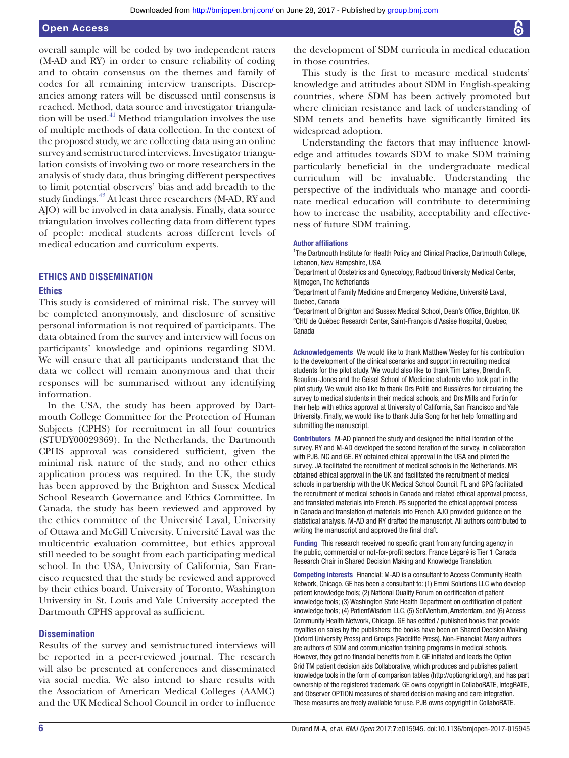#### Open Access

overall sample will be coded by two independent raters (M-AD and RY) in order to ensure reliability of coding and to obtain consensus on the themes and family of codes for all remaining interview transcripts. Discrepancies among raters will be discussed until consensus is reached. Method, data source and investigator triangulation will be used. $41$  Method triangulation involves the use of multiple methods of data collection. In the context of the proposed study, we are collecting data using an online survey and semistructured interviews. Investigator triangulation consists of involving two or more researchers in the analysis of study data, thus bringing different perspectives to limit potential observers' bias and add breadth to the study findings.[42](#page-6-24) At least three researchers (M-AD, RY and AJO) will be involved in data analysis. Finally, data source triangulation involves collecting data from different types of people: medical students across different levels of medical education and curriculum experts.

#### <span id="page-6-1"></span><span id="page-6-0"></span>**ETHICS AND DISSEMINATION**

#### **Ethics**

<span id="page-6-3"></span><span id="page-6-2"></span>This study is considered of minimal risk. The survey will be completed anonymously, and disclosure of sensitive personal information is not required of participants. The data obtained from the survey and interview will focus on participants' knowledge and opinions regarding SDM. We will ensure that all participants understand that the data we collect will remain anonymous and that their responses will be summarised without any identifying information.

<span id="page-6-6"></span><span id="page-6-5"></span><span id="page-6-4"></span>In the USA, the study has been approved by Dartmouth College Committee for the Protection of Human Subjects (CPHS) for recruitment in all four countries (STUDY00029369). In the Netherlands, the Dartmouth CPHS approval was considered sufficient, given the minimal risk nature of the study, and no other ethics application process was required. In the UK, the study has been approved by the Brighton and Sussex Medical School Research Governance and Ethics Committee. In Canada, the study has been reviewed and approved by the ethics committee of the Université Laval, University of Ottawa and McGill University. Université Laval was the multicentric evaluation committee, but ethics approval still needed to be sought from each participating medical school. In the USA, University of California, San Francisco requested that the study be reviewed and approved by their ethics board. University of Toronto, Washington University in St. Louis and Yale University accepted the Dartmouth CPHS approval as sufficient.

#### <span id="page-6-9"></span><span id="page-6-7"></span>**Dissemination**

Results of the survey and semistructured interviews will be reported in a peer-reviewed journal. The research will also be presented at conferences and disseminated via social media. We also intend to share results with the Association of American Medical Colleges (AAMC) and the UK Medical School Council in order to influence

the development of SDM curricula in medical education in those countries.

<span id="page-6-8"></span>This study is the first to measure medical students' knowledge and attitudes about SDM in English-speaking countries, where SDM has been actively promoted but where clinician resistance and lack of understanding of SDM tenets and benefits have significantly limited its widespread adoption.

<span id="page-6-11"></span><span id="page-6-10"></span>Understanding the factors that may influence knowledge and attitudes towards SDM to make SDM training particularly beneficial in the undergraduate medical curriculum will be invaluable. Understanding the perspective of the individuals who manage and coordinate medical education will contribute to determining how to increase the usability, acceptability and effectiveness of future SDM training.

#### <span id="page-6-13"></span><span id="page-6-12"></span>Author afiliations

<sup>1</sup>The Dartmouth Institute for Health Policy and Clinical Practice, Dartmouth College, Lebanon, New Hampshire, USA

<sup>2</sup>Department of Obstetrics and Gynecology, Radboud University Medical Center, Nijmegen, The Netherlands

3 Department of Family Medicine and Emergency Medicine, Université Laval, Quebec, Canada

<sup>4</sup>Department of Brighton and Sussex Medical School, Dean's Office, Brighton, UK <sup>5</sup>CHU de Québec Research Center, Saint-François d'Assise Hospital, Quebec, Canada

<span id="page-6-15"></span><span id="page-6-14"></span>Acknowledgements We would like to thank Matthew Wesley for his contribution to the development of the clinical scenarios and support in recruiting medical students for the pilot study. We would also like to thank Tim Lahey, Brendin R. Beaulieu-Jones and the Geisel School of Medicine students who took part in the pilot study. We would also like to thank Drs Politi and Bussières for circulating the survey to medical students in their medical schools, and Drs Mills and Fortin for their help with ethics approval at University of California, San Francisco and Yale University. Finally, we would like to thank Julia Song for her help formatting and submitting the manuscript.

<span id="page-6-19"></span><span id="page-6-18"></span><span id="page-6-17"></span><span id="page-6-16"></span>Contributors M-AD planned the study and designed the initial iteration of the survey. RY and M-AD developed the second iteration of the survey, in collaboration with PJB, NC and GE. RY obtained ethical approval in the USA and piloted the survey. JA facilitated the recruitment of medical schools in the Netherlands. MR obtained ethical approval in the UK and facilitated the recruitment of medical schools in partnership with the UK Medical School Council. FL and GPG facilitated the recruitment of medical schools in Canada and related ethical approval process, and translated materials into French. PS supported the ethical approval process in Canada and translation of materials into French. AJO provided guidance on the statistical analysis. M-AD and RY drafted the manuscript. All authors contributed to writing the manuscript and approved the final draft.

<span id="page-6-22"></span><span id="page-6-21"></span><span id="page-6-20"></span>Funding This research received no specific grant from any funding agency in the public, commercial or not-for-profit sectors. France Légaré is Tier 1 Canada Research Chair in Shared Decision Making and Knowledge Translation.

<span id="page-6-24"></span><span id="page-6-23"></span>Competing interests Financial: M-AD is a consultant to Access Community Health Network, Chicago. GE has been a consultant to: (1) Emmi Solutions LLC who develop patient knowledge tools; (2) National Quality Forum on certification of patient knowledge tools; (3) Washington State Health Department on certification of patient knowledge tools; (4) PatientWisdom LLC, (5) SciMentum, Amsterdam, and (6) Access Community Health Network, Chicago. GE has edited / published books that provide royalties on sales by the publishers: the books have been on Shared Decision Making (Oxford University Press) and Groups (Radcliffe Press). Non-Financial: Many authors are authors of SDM and communication training programs in medical schools. However, they get no financial benefits from it. GE initiated and leads the Option Grid TM patient decision aids Collaborative, which produces and publishes patient knowledge tools in the form of comparison tables (http://optiongrid.org/), and has part ownership of the registered trademark. GE owns copyright in CollaboRATE, IntegRATE, and Observer OPTION measures of shared decision making and care integration. These measures are freely available for use. PJB owns copyright in CollaboRATE.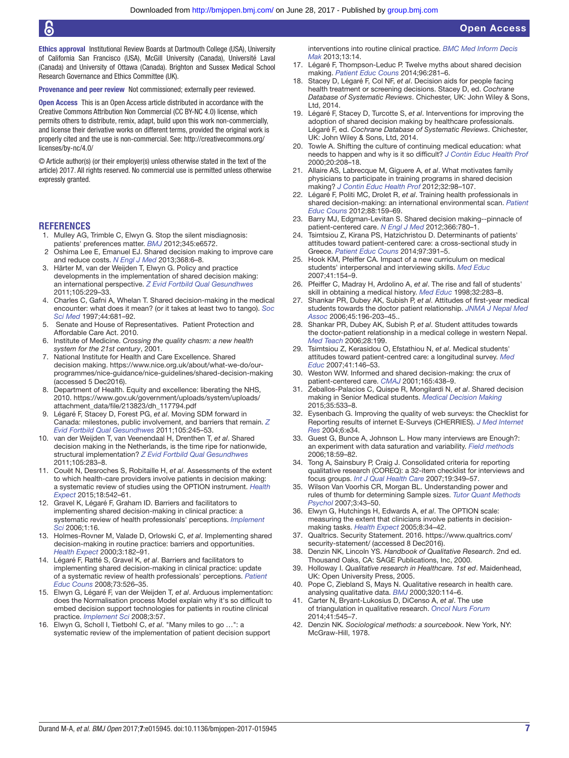Ethics approval Institutional Review Boards at Dartmouth College (USA), University of California San Francisco (USA), McGill University (Canada), Université Laval (Canada) and University of Ottawa (Canada). Brighton and Sussex Medical School Research Governance and Ethics Committee (UK).

Provenance and peer review Not commissioned; externally peer reviewed.

Open Access This is an Open Access article distributed in accordance with the Creative Commons Attribution Non Commercial (CC BY-NC 4.0) license, which permits others to distribute, remix, adapt, build upon this work non-commercially, and license their derivative works on different terms, provided the original work is properly cited and the use is non-commercial. See: [http:// creativecommons. org/](http://creativecommons.org/licenses/by-nc/4.0/) licenses/by-nc/4.0/

© Article author(s) (or their employer(s) unless otherwise stated in the text of the article) 2017. All rights reserved. No commercial use is permitted unless otherwise expressly granted.

#### **REFERENCES**

- 1. Mulley AG, Trimble C, Elwyn G. Stop the silent misdiagnosis: patients' preferences matter. *[BMJ](http://dx.doi.org/10.1136/bmj.e6572)* 2012;345:e6572.
- 2 Oshima Lee E, Emanuel EJ. Shared decision making to improve care and reduce costs. *[N Engl J Med](http://dx.doi.org/10.1056/NEJMp1209500)* 2013;368:6–8.
- Härter M, van der Weijden T, Elwyn G. Policy and practice developments in the implementation of shared decision making: an international perspective. *[Z Evid Fortbild Qual Gesundhwes](http://dx.doi.org/10.1016/j.zefq.2011.04.018)* 2011;105:229–33.
- 4. Charles C, Gafni A, Whelan T. Shared decision-making in the medical encounter: what does it mean? (or it takes at least two to tango). *[Soc](http://dx.doi.org/10.1016/S0277-9536(96)00221-3)  [Sci Med](http://dx.doi.org/10.1016/S0277-9536(96)00221-3)* 1997;44:681–92.
- 5. Senate and House of Representatives. Patient Protection and Affordable Care Act. 2010.
- 6. Institute of Medicine. *Crossing the quality chasm: a new health system for the 21st century*, 2001.
- 7. National Institute for Health and Care Excellence. Shared decision making. https://www.nice.org.uk/about/what-we-do/ourprogrammes/nice-guidance/nice-guidelines/shared-decision-making (accessed 5 Dec2016).
- 8. Department of Health. Equity and excellence: liberating the NHS, 2010. https://www.gov.uk/government/uploads/system/uploads/ attachment\_data/file/213823/dh\_117794.pdf
- 9. Légaré F, Stacey D, Forest PG, *et al*. Moving SDM forward in Canada: milestones, public involvement, and barriers that remain. *[Z](http://dx.doi.org/10.1016/j.zefq.2011.04.011)  [Evid Fortbild Qual Gesundhwes](http://dx.doi.org/10.1016/j.zefq.2011.04.011)* 2011;105:245–53.
- 10. van der Weijden T, van Veenendaal H, Drenthen T, *et al*. Shared decision making in the Netherlands, is the time ripe for nationwide, structural implementation? *[Z Evid Fortbild Qual Gesundhwes](http://dx.doi.org/10.1016/j.zefq.2011.04.005)* 2011;105:283–8.
- 11. Couët N, Desroches S, Robitaille H, *et al*. Assessments of the extent to which health-care providers involve patients in decision making: a systematic review of studies using the OPTION instrument. *[Health](http://dx.doi.org/10.1111/hex.12054)  [Expect](http://dx.doi.org/10.1111/hex.12054)* 2015;18:542–61.
- 12. Gravel K, Légaré F, Graham ID. Barriers and facilitators to implementing shared decision-making in clinical practice: a systematic review of health professionals' perceptions. *[Implement](http://dx.doi.org/10.1186/1748-5908-1-16)  [Sci](http://dx.doi.org/10.1186/1748-5908-1-16)* 2006;1:16.
- 13. Holmes-Rovner M, Valade D, Orlowski C, *et al*. Implementing shared decision-making in routine practice: barriers and opportunities. *[Health Expect](http://dx.doi.org/10.1046/j.1369-6513.2000.00093.x)* 2000;3:182–91.
- 14. Légaré F, Ratté S, Gravel K, *et al*. Barriers and facilitators to implementing shared decision-making in clinical practice: update of a systematic review of health professionals' perceptions. *[Patient](http://dx.doi.org/10.1016/j.pec.2008.07.018)  [Educ Couns](http://dx.doi.org/10.1016/j.pec.2008.07.018)* 2008;73:526–35.
- 15. Elwyn G, Légaré F, van der Weijden T, *et al*. Arduous implementation: does the Normalisation process Model explain why it's so dificult to embed decision support technologies for patients in routine clinical practice. *[Implement Sci](http://dx.doi.org/10.1186/1748-5908-3-57)* 2008;3:57.
- 16. Elwyn G, Scholl I, Tietbohl C, *et al*. "Many miles to go …": a systematic review of the implementation of patient decision support

interventions into routine clinical practice. *[BMC Med Inform Decis](http://dx.doi.org/10.1186/1472-6947-13-S2-S14)  [Mak](http://dx.doi.org/10.1186/1472-6947-13-S2-S14)* 2013;13:14.

- 17. Légaré F, Thompson-Leduc P. Twelve myths about shared decision making. *[Patient Educ Couns](http://dx.doi.org/10.1016/j.pec.2014.06.014)* 2014;96:281–6.
- 18. Stacey D, Légaré F, Col NF, *et al*. Decision aids for people facing health treatment or screening decisions. Stacey D, ed. *Cochrane Database of Systematic Reviews*. Chichester, UK: John Wiley & Sons, Ltd, 2014.
- 19. Légaré F, Stacey D, Turcotte S, *et al*. Interventions for improving the adoption of shared decision making by healthcare professionals. Légaré F, ed. *Cochrane Database of Systematic Reviews*. Chichester, UK: John Wiley & Sons, Ltd, 2014.
- 20. Towle A. Shifting the culture of continuing medical education: what needs to happen and why is it so dificult? *[J Contin Educ Health Prof](http://dx.doi.org/10.1002/chp.1340200404)* 2000;20:208–18.
- 21. Allaire AS, Labrecque M, Giguere A, *et al*. What motivates family physicians to participate in training programs in shared decision making? *[J Contin Educ Health Prof](http://dx.doi.org/10.1002/chp.21132)* 2012;32:98–107.
- 22. Légaré F, Politi MC, Drolet R, *et al*. Training health professionals in shared decision-making: an international environmental scan. *[Patient](http://dx.doi.org/10.1016/j.pec.2012.01.002)  [Educ Couns](http://dx.doi.org/10.1016/j.pec.2012.01.002)* 2012;88:159–69.
- 23. Barry MJ, Edgman-Levitan S. Shared decision making--pinnacle of patient-centered care. *[N Engl J Med](http://dx.doi.org/10.1056/NEJMp1109283)* 2012;366:780–1.
- 24. Tsimtsiou Z, Kirana PS, Hatzichristou D. Determinants of patients' attitudes toward patient-centered care: a cross-sectional study in Greece. *[Patient Educ Couns](http://dx.doi.org/10.1016/j.pec.2014.08.007)* 2014;97:391–5.
- 25. Hook KM, Pfeiffer CA. Impact of a new curriculum on medical students' interpersonal and interviewing skills. *[Med Educ](http://dx.doi.org/10.1111/j.1365-2929.2006.02680.x)* 2007;41:154–9.
- 26. Pfeiffer C, Madray H, Ardolino A, *et al*. The rise and fall of students' skill in obtaining a medical history. *[Med Educ](http://dx.doi.org/10.1046/j.1365-2923.1998.00222.x)* 1998;32:283–8.
- 27. Shankar PR, Dubey AK, Subish P, et al. Attitudes of first-year medical students towards the doctor patient relationship. *JNMA J Nepal Med Assoc* 2006;45:196-203–45..
- 28. Shankar PR, Dubey AK, Subish P, *et al*. Student attitudes towards the doctor-patient relationship in a medical college in western Nepal. *Med Teach* 2006;28:199.
- 29. Tsimtsiou Z, Kerasidou O, Efstathiou N, *et al*. Medical students' attitudes toward patient-centred care: a longitudinal survey. *[Med](http://dx.doi.org/10.1111/j.1365-2929.2006.02668.x)  [Educ](http://dx.doi.org/10.1111/j.1365-2929.2006.02668.x)* 2007;41:146–53.
- 30. Weston WW. Informed and shared decision-making: the crux of patient-centered care. *CMAJ* 2001;165:438–9.
- 31. Zeballos-Palacios C, Quispe R, Mongilardi N, *et al*. Shared decision making in Senior Medical students. *[Medical Decision Making](http://dx.doi.org/10.1177/0272989X15573746)* 2015;35:533–8.
- 32. Eysenbach G. Improving the quality of web surveys: the Checklist for Reporting results of internet E-Surveys (CHERRIES). *[J Med Internet](http://dx.doi.org/10.2196/jmir.6.3.e34)  [Res](http://dx.doi.org/10.2196/jmir.6.3.e34)* 2004;6:e34.
- 33. Guest G, Bunce A, Johnson L. How many interviews are Enough?: an experiment with data saturation and variability. *[Field methods](http://dx.doi.org/10.1177/1525822X05279903)* 2006;18:59–82.
- 34. Tong A, Sainsbury P, Craig J. Consolidated criteria for reporting qualitative research (COREQ): a 32-item checklist for interviews and focus groups. *[Int J Qual Health Care](http://dx.doi.org/10.1093/intqhc/mzm042)* 2007;19:349–57.
- 35. Wilson Van Voorhis CR, Morgan BL. Understanding power and rules of thumb for determining Sample sizes. *[Tutor Quant Methods](http://dx.doi.org/10.20982/tqmp.03.2.p043)  [Psychol](http://dx.doi.org/10.20982/tqmp.03.2.p043)* 2007;3:43–50.
- 36. Elwyn G, Hutchings H, Edwards A, *et al*. The OPTION scale: measuring the extent that clinicians involve patients in decisionmaking tasks. *[Health Expect](http://dx.doi.org/10.1111/j.1369-7625.2004.00311.x)* 2005;8:34–42.
- 37. Qualtrics. Security Statement. 2016. [https://www. qualtrics. com/](https://www.qualtrics.com/security-statement/)  security-statement/ (accessed 8 Dec2016).
- 38. Denzin NK, Lincoln YS. *Handbook of Qualitative Research*. 2nd ed. Thousand Oaks, CA: SAGE Publications, Inc, 2000.
- 39. Holloway I. *Qualitative research in Healthcare. 1st ed*. Maidenhead, UK: Open University Press, 2005.
- 40. Pope C, Ziebland S, Mays N. Qualitative research in health care. analysing qualitative data. *[BMJ](http://dx.doi.org/10.1136/bmj.320.7227.114)* 2000;320:114–6.
- 41. Carter N, Bryant-Lukosius D, DiCenso A, *et al*. The use of triangulation in qualitative research. *[Oncol Nurs Forum](http://dx.doi.org/10.1188/14.ONF.545-547)* 2014;41:545–7.
- 42. Denzin NK. *Sociological methods: a sourcebook*. New York, NY: McGraw-Hill, 1978.